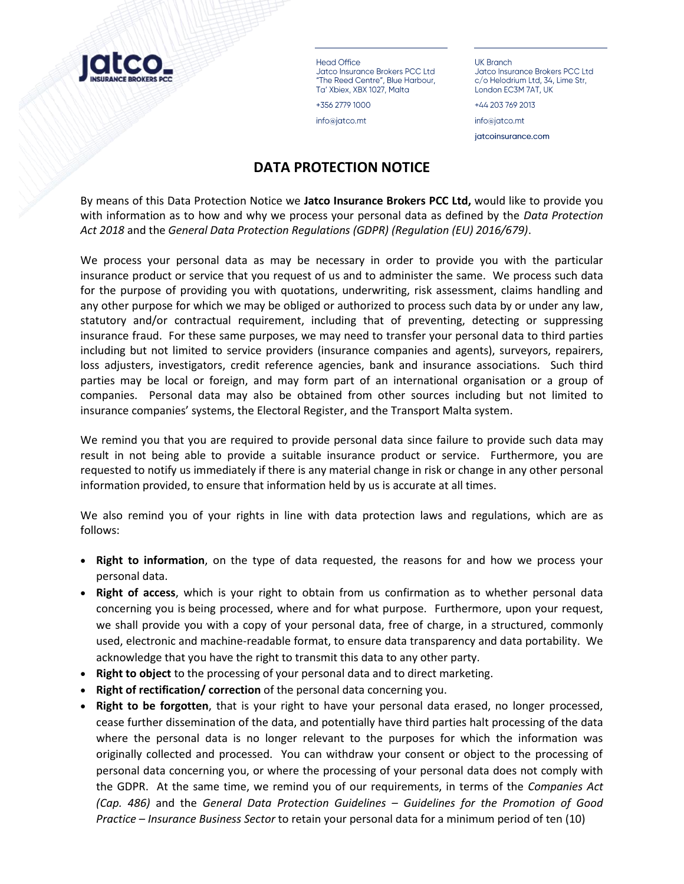

**Head Office** Jatco Insurance Brokers PCC Ltd "The Reed Centre", Blue Harbour, Ta' Xbiex, XBX 1027, Malta

+356 2779 1000 info@jatco.mt

**UK Branch** Jatco Insurance Brokers PCC Ltd c/o Helodrium Ltd, 34, Lime Str, London EC3M 7AT, UK

+44 203 769 2013

info@jatco.mt

jatcoinsurance.com

## **DATA PROTECTION NOTICE**

By means of this Data Protection Notice we **Jatco Insurance Brokers PCC Ltd,** would like to provide you with information as to how and why we process your personal data as defined by the *Data Protection Act 2018* and the *General Data Protection Regulations (GDPR) (Regulation (EU) 2016/679)*.

We process your personal data as may be necessary in order to provide you with the particular insurance product or service that you request of us and to administer the same. We process such data for the purpose of providing you with quotations, underwriting, risk assessment, claims handling and any other purpose for which we may be obliged or authorized to process such data by or under any law, statutory and/or contractual requirement, including that of preventing, detecting or suppressing insurance fraud. For these same purposes, we may need to transfer your personal data to third parties including but not limited to service providers (insurance companies and agents), surveyors, repairers, loss adjusters, investigators, credit reference agencies, bank and insurance associations. Such third parties may be local or foreign, and may form part of an international organisation or a group of companies. Personal data may also be obtained from other sources including but not limited to insurance companies' systems, the Electoral Register, and the Transport Malta system.

We remind you that you are required to provide personal data since failure to provide such data may result in not being able to provide a suitable insurance product or service. Furthermore, you are requested to notify us immediately if there is any material change in risk or change in any other personal information provided, to ensure that information held by us is accurate at all times.

We also remind you of your rights in line with data protection laws and regulations, which are as follows:

- **Right to information**, on the type of data requested, the reasons for and how we process your personal data.
- **Right of access**, which is your right to obtain from us confirmation as to whether personal data concerning you is being processed, where and for what purpose. Furthermore, upon your request, we shall provide you with a copy of your personal data, free of charge, in a structured, commonly used, electronic and machine-readable format, to ensure data transparency and data portability. We acknowledge that you have the right to transmit this data to any other party.
- **Right to object** to the processing of your personal data and to direct marketing.
- **Right of rectification/ correction** of the personal data concerning you.
- **Right to be forgotten**, that is your right to have your personal data erased, no longer processed, cease further dissemination of the data, and potentially have third parties halt processing of the data where the personal data is no longer relevant to the purposes for which the information was originally collected and processed. You can withdraw your consent or object to the processing of personal data concerning you, or where the processing of your personal data does not comply with the GDPR. At the same time, we remind you of our requirements, in terms of the *Companies Act (Cap. 486)* and the *General Data Protection Guidelines – Guidelines for the Promotion of Good Practice – Insurance Business Sector* to retain your personal data for a minimum period of ten (10)